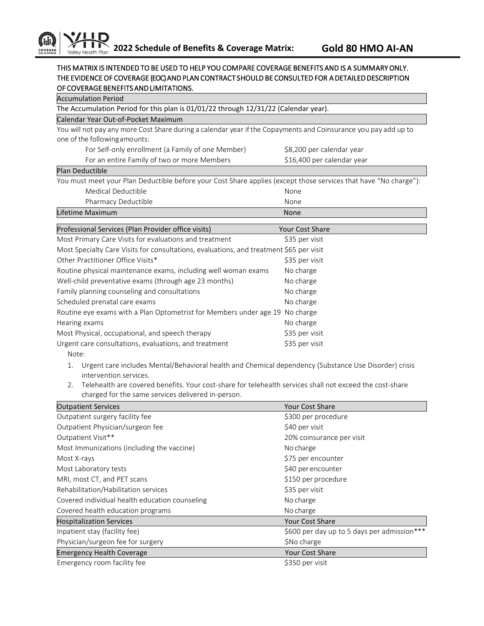## THIS MATRIX IS INTENDED TO BE USED TO HELP YOU COMPARE COVERAGE BENEFITS AND IS A SUMMARY ONLY. THE EVIDENCE OF COVERAGE (EOC) AND PLAN CONTRACT SHOULD BE CONSULTED FOR A DETAILED DESCRIPTION OF COVERAGE BENEFITS AND LIMITATIONS.

| <b>Accumulation Period</b>                                                                                       |                            |  |
|------------------------------------------------------------------------------------------------------------------|----------------------------|--|
| The Accumulation Period for this plan is 01/01/22 through 12/31/22 (Calendar year).                              |                            |  |
| Calendar Year Out-of-Pocket Maximum                                                                              |                            |  |
| You will not pay any more Cost Share during a calendar year if the Copayments and Coinsurance you pay add up to  |                            |  |
| one of the following amounts:                                                                                    |                            |  |
| For Self-only enrollment (a Family of one Member)                                                                | \$8,200 per calendar year  |  |
| For an entire Family of two or more Members                                                                      | \$16,400 per calendar year |  |
| Plan Deductible                                                                                                  |                            |  |
| You must meet your Plan Deductible before your Cost Share applies (except those services that have "No charge"): |                            |  |
| Medical Deductible                                                                                               | None                       |  |
| Pharmacy Deductible                                                                                              | None                       |  |
| Lifetime Maximum                                                                                                 | None                       |  |
| Professional Services (Plan Provider office visits)                                                              | <b>Your Cost Share</b>     |  |
| Most Primary Care Visits for evaluations and treatment                                                           | \$35 per visit             |  |
| Most Specialty Care Visits for consultations, evaluations, and treatment \$65 per visit                          |                            |  |
| Other Practitioner Office Visits*                                                                                | \$35 per visit             |  |
| Routine physical maintenance exams, including well woman exams                                                   | No charge                  |  |
| Well-child preventative exams (through age 23 months)                                                            | No charge                  |  |
| Family planning counseling and consultations                                                                     | No charge                  |  |
| Scheduled prenatal care exams                                                                                    | No charge                  |  |
| Routine eye exams with a Plan Optometrist for Members under age 19                                               | No charge                  |  |
| Hearing exams                                                                                                    | No charge                  |  |
| Most Physical, occupational, and speech therapy                                                                  | \$35 per visit             |  |
| Urgent care consultations, evaluations, and treatment<br>Note:                                                   | \$35 per visit             |  |

- 1. Urgent care includes Mental/Behavioral health and Chemical dependency (Substance Use Disorder) crisis intervention services.
- 2. Telehealth are covered benefits. Your cost-share for telehealth services shall not exceed the cost-share charged for the same services delivered in-person.

| <b>Outpatient Services</b>                     | <b>Your Cost Share</b>                      |
|------------------------------------------------|---------------------------------------------|
| Outpatient surgery facility fee                | \$300 per procedure                         |
| Outpatient Physician/surgeon fee               | \$40 per visit                              |
| Outpatient Visit**                             | 20% coinsurance per visit                   |
| Most Immunizations (including the vaccine)     | No charge                                   |
| Most X-rays                                    | \$75 per encounter                          |
| Most Laboratory tests                          | \$40 per encounter                          |
| MRI, most CT, and PET scans                    | \$150 per procedure                         |
| Rehabilitation/Habilitation services           | \$35 per visit                              |
| Covered individual health education counseling | No charge                                   |
| Covered health education programs              | No charge                                   |
| <b>Hospitalization Services</b>                | <b>Your Cost Share</b>                      |
| Inpatient stay (facility fee)                  | \$600 per day up to 5 days per admission*** |
| Physician/surgeon fee for surgery              | \$No charge                                 |
| <b>Emergency Health Coverage</b>               | <b>Your Cost Share</b>                      |
| Emergency room facility fee                    | \$350 per visit                             |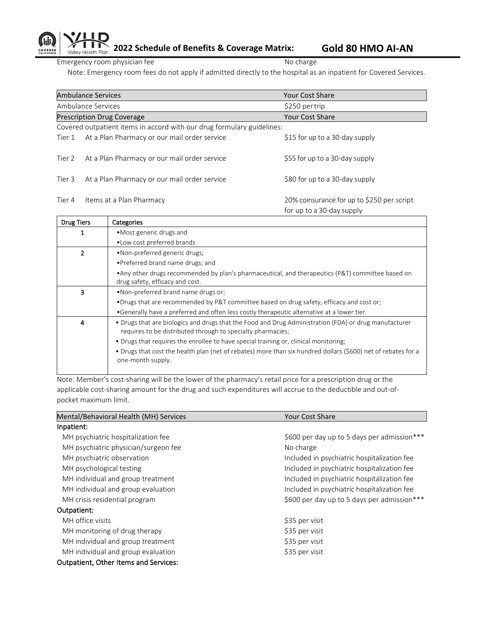

Emergency room physician fee No charge No charge

Note: Emergency room fees do not apply if admitted directly to the hospital as an inpatient for Covered Services.

|                                                                        | <b>Ambulance Services</b>                    | <b>Your Cost Share</b>                                                  |
|------------------------------------------------------------------------|----------------------------------------------|-------------------------------------------------------------------------|
| Ambulance Services                                                     |                                              | \$250 per trip                                                          |
|                                                                        | <b>Prescription Drug Coverage</b>            | <b>Your Cost Share</b>                                                  |
| Covered outpatient items in accord with our drug formulary guidelines: |                                              |                                                                         |
| Tier 1                                                                 | At a Plan Pharmacy or our mail order service | \$15 for up to a 30-day supply                                          |
| Tier 2                                                                 | At a Plan Pharmacy or our mail order service | \$55 for up to a 30-day supply                                          |
| Tier 3                                                                 | At a Plan Pharmacy or our mail order service | \$80 for up to a 30-day supply                                          |
| Tier 4                                                                 | Items at a Plan Pharmacy                     | 20% coinsurance for up to \$250 per script<br>for up to a 30-day supply |

| <b>Drug Tiers</b> | Categories                                                                                                                                                                                                                                                                                                                                                                                         |  |
|-------------------|----------------------------------------------------------------------------------------------------------------------------------------------------------------------------------------------------------------------------------------------------------------------------------------------------------------------------------------------------------------------------------------------------|--|
|                   | • Most generic drugs and                                                                                                                                                                                                                                                                                                                                                                           |  |
|                   | • Low cost preferred brands                                                                                                                                                                                                                                                                                                                                                                        |  |
|                   | •Non-preferred generic drugs;                                                                                                                                                                                                                                                                                                                                                                      |  |
|                   | • Preferred brand name drugs; and                                                                                                                                                                                                                                                                                                                                                                  |  |
|                   | • Any other drugs recommended by plan's pharmaceutical, and therapeutics (P&T) committee based on<br>drug safety, efficacy and cost.                                                                                                                                                                                                                                                               |  |
| 3                 | . Non-preferred brand name drugs or:                                                                                                                                                                                                                                                                                                                                                               |  |
|                   | . Drugs that are recommended by P&T committee based on drug safety, efficacy and cost or;                                                                                                                                                                                                                                                                                                          |  |
|                   | •Generally have a preferred and often less costly therapeutic alternative at a lower tier.                                                                                                                                                                                                                                                                                                         |  |
| $\overline{4}$    | • Drugs that are biologics and drugs that the Food and Drug Administration (FDA) or drug manufacturer<br>requires to be distributed through to specialty pharmacies;<br>• Drugs that requires the enrollee to have special training or, clinical monitoring;<br>• Drugs that cost the health plan (net of rebates) more than six hundred dollars (\$600) net of rebates for a<br>one-month supply. |  |
|                   |                                                                                                                                                                                                                                                                                                                                                                                                    |  |

Note: Member's cost-sharing will be the lower of the pharmacy's retail price for a prescription drug or the applicable cost-sharing amount for the drug and such expenditures will accrue to the deductible and out-ofpocket maximum limit.

| Mental/Behavioral Health (MH) Services       | <b>Your Cost Share</b>                      |  |  |
|----------------------------------------------|---------------------------------------------|--|--|
| Inpatient:                                   |                                             |  |  |
| MH psychiatric hospitalization fee           | \$600 per day up to 5 days per admission*** |  |  |
| MH psychiatric physician/surgeon fee         | No charge                                   |  |  |
| MH psychiatric observation                   | Included in psychiatric hospitalization fee |  |  |
| MH psychological testing                     | Included in psychiatric hospitalization fee |  |  |
| MH individual and group treatment            | Included in psychiatric hospitalization fee |  |  |
| MH individual and group evaluation           | Included in psychiatric hospitalization fee |  |  |
| MH crisis residential program                | \$600 per day up to 5 days per admission*** |  |  |
| Outpatient:                                  |                                             |  |  |
| MH office visits                             | \$35 per visit                              |  |  |
| MH monitoring of drug therapy                | \$35 per visit                              |  |  |
| MH individual and group treatment            | \$35 per visit                              |  |  |
| MH individual and group evaluation           | \$35 per visit                              |  |  |
| <b>Outpatient, Other Items and Services:</b> |                                             |  |  |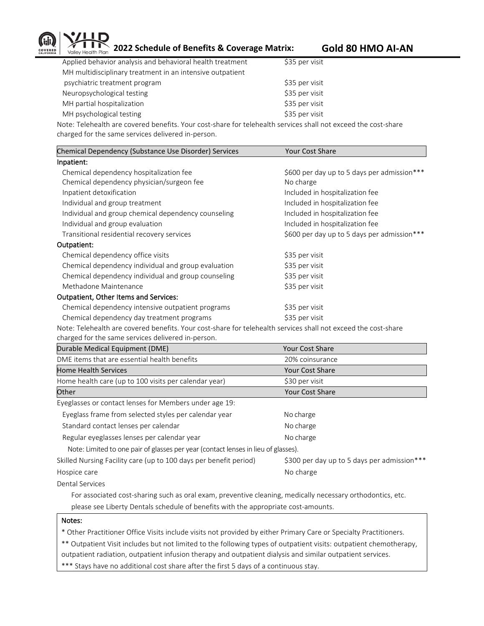

**2022 Schedule of Benefits & Coverage Matrix: Gold 80 HMO AI-AN**

| Applied behavior analysis and behavioral health treatment | \$35 per visit |
|-----------------------------------------------------------|----------------|
| MH multidisciplinary treatment in an intensive outpatient |                |
| psychiatric treatment program                             | \$35 per visit |
| Neuropsychological testing                                | \$35 per visit |
| MH partial hospitalization                                | \$35 per visit |
| MH psychological testing                                  | \$35 per visit |
|                                                           |                |

Note: Telehealth are covered benefits. Your cost-share for telehealth services shall not exceed the cost-share charged for the same services delivered in-person.

| Chemical Dependency (Substance Use Disorder) Services | <b>Your Cost Share</b>                      |
|-------------------------------------------------------|---------------------------------------------|
| Inpatient:                                            |                                             |
| Chemical dependency hospitalization fee               | \$600 per day up to 5 days per admission*** |
| Chemical dependency physician/surgeon fee             | No charge                                   |
| Inpatient detoxification                              | Included in hospitalization fee             |
| Individual and group treatment                        | Included in hospitalization fee             |
| Individual and group chemical dependency counseling   | Included in hospitalization fee             |
| Individual and group evaluation                       | Included in hospitalization fee             |
| Transitional residential recovery services            | \$600 per day up to 5 days per admission*** |
| Outpatient:                                           |                                             |
| Chemical dependency office visits                     | \$35 per visit                              |
| Chemical dependency individual and group evaluation   | \$35 per visit                              |
| Chemical dependency individual and group counseling   | \$35 per visit                              |
| Methadone Maintenance                                 | \$35 per visit                              |
| <b>Outpatient, Other Items and Services:</b>          |                                             |
| Chemical dependency intensive outpatient programs     | \$35 per visit                              |
| Chemical dependency day treatment programs            | \$35 per visit                              |
|                                                       |                                             |

Note: Telehealth are covered benefits. Your cost-share for telehealth services shall not exceed the cost-share charged for the same services delivered in-person.

| Durable Medical Equipment (DME)                                                    | <b>Your Cost Share</b>                      |
|------------------------------------------------------------------------------------|---------------------------------------------|
| DME items that are essential health benefits                                       | 20% coinsurance                             |
| <b>Home Health Services</b>                                                        | <b>Your Cost Share</b>                      |
| Home health care (up to 100 visits per calendar year)                              | \$30 per visit                              |
| Other                                                                              | <b>Your Cost Share</b>                      |
| Eyeglasses or contact lenses for Members under age 19:                             |                                             |
| Eyeglass frame from selected styles per calendar year                              | No charge                                   |
| Standard contact lenses per calendar                                               | No charge                                   |
| Regular eyeglasses lenses per calendar year                                        | No charge                                   |
| Note: Limited to one pair of glasses per year (contact lenses in lieu of glasses). |                                             |
| Skilled Nursing Facility care (up to 100 days per benefit period)                  | \$300 per day up to 5 days per admission*** |
| Hospice care                                                                       | No charge                                   |
| Dental Services                                                                    |                                             |

Dental Services

 For associated cost-sharing such as oral exam, preventive cleaning, medically necessary orthodontics, etc. please see Liberty Dentals schedule of benefits with the appropriate cost-amounts.

## Notes:

\* Other Practitioner Office Visits include visits not provided by either Primary Care or Specialty Practitioners.

\*\* Outpatient Visit includes but not limited to the following types of outpatient visits: outpatient chemotherapy, outpatient radiation, outpatient infusion therapy and outpatient dialysis and similar outpatient services.

\*\*\* Stays have no additional cost share after the first 5 days of a continuous stay.